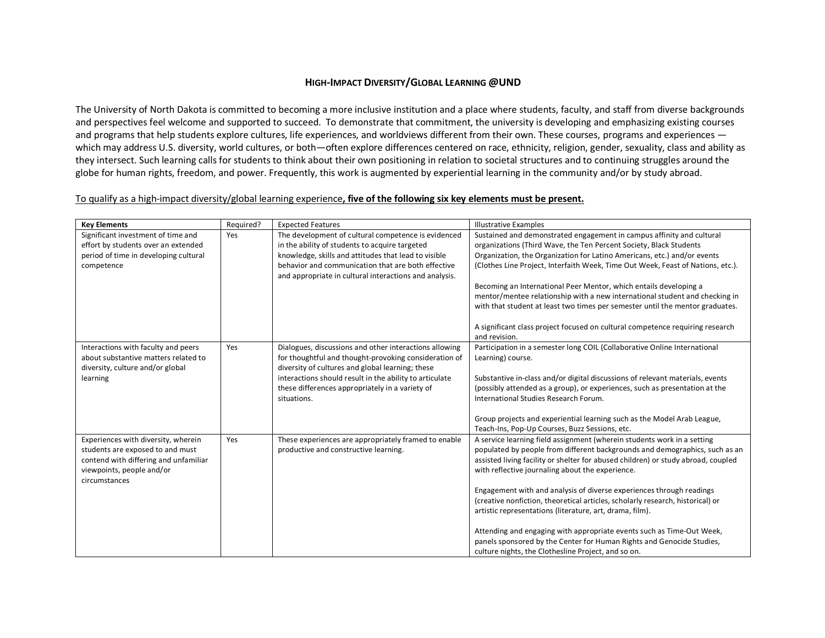## **HIGH-IMPACT DIVERSITY/GLOBAL LEARNING @UND**

The University of North Dakota is committed to becoming a more inclusive institution and a place where students, faculty, and staff from diverse backgrounds and perspectives feel welcome and supported to succeed. To demonstrate that commitment, the university is developing and emphasizing existing courses and programs that help students explore cultures, life experiences, and worldviews different from their own. These courses, programs and experiences which may address U.S. diversity, world cultures, or both—often explore differences centered on race, ethnicity, religion, gender, sexuality, class and ability as they intersect. Such learning calls for students to think about their own positioning in relation to societal structures and to continuing struggles around the globe for human rights, freedom, and power. Frequently, this work is augmented by experiential learning in the community and/or by study abroad.

## To qualify as a high-impact diversity/global learning experience**, five of the following six key elements must be present.**

| <b>Key Elements</b>                   | Required? | <b>Expected Features</b>                                                                                     | <b>Illustrative Examples</b>                                                                   |
|---------------------------------------|-----------|--------------------------------------------------------------------------------------------------------------|------------------------------------------------------------------------------------------------|
| Significant investment of time and    | Yes       | The development of cultural competence is evidenced                                                          | Sustained and demonstrated engagement in campus affinity and cultural                          |
| effort by students over an extended   |           | in the ability of students to acquire targeted                                                               | organizations (Third Wave, the Ten Percent Society, Black Students                             |
| period of time in developing cultural |           | knowledge, skills and attitudes that lead to visible                                                         | Organization, the Organization for Latino Americans, etc.) and/or events                       |
| competence                            |           | behavior and communication that are both effective<br>and appropriate in cultural interactions and analysis. | (Clothes Line Project, Interfaith Week, Time Out Week, Feast of Nations, etc.).                |
|                                       |           |                                                                                                              | Becoming an International Peer Mentor, which entails developing a                              |
|                                       |           |                                                                                                              | mentor/mentee relationship with a new international student and checking in                    |
|                                       |           |                                                                                                              | with that student at least two times per semester until the mentor graduates.                  |
|                                       |           |                                                                                                              | A significant class project focused on cultural competence requiring research<br>and revision. |
| Interactions with faculty and peers   | Yes       | Dialogues, discussions and other interactions allowing                                                       | Participation in a semester long COIL (Collaborative Online International                      |
| about substantive matters related to  |           | for thoughtful and thought-provoking consideration of                                                        | Learning) course.                                                                              |
| diversity, culture and/or global      |           | diversity of cultures and global learning; these                                                             |                                                                                                |
| learning                              |           | interactions should result in the ability to articulate                                                      | Substantive in-class and/or digital discussions of relevant materials, events                  |
|                                       |           | these differences appropriately in a variety of                                                              | (possibly attended as a group), or experiences, such as presentation at the                    |
|                                       |           | situations.                                                                                                  | International Studies Research Forum.                                                          |
|                                       |           |                                                                                                              | Group projects and experiential learning such as the Model Arab League,                        |
|                                       |           |                                                                                                              | Teach-Ins, Pop-Up Courses, Buzz Sessions, etc.                                                 |
| Experiences with diversity, wherein   | Yes       | These experiences are appropriately framed to enable                                                         | A service learning field assignment (wherein students work in a setting                        |
| students are exposed to and must      |           | productive and constructive learning.                                                                        | populated by people from different backgrounds and demographics, such as an                    |
| contend with differing and unfamiliar |           |                                                                                                              | assisted living facility or shelter for abused children) or study abroad, coupled              |
| viewpoints, people and/or             |           |                                                                                                              | with reflective journaling about the experience.                                               |
| circumstances                         |           |                                                                                                              |                                                                                                |
|                                       |           |                                                                                                              | Engagement with and analysis of diverse experiences through readings                           |
|                                       |           |                                                                                                              | (creative nonfiction, theoretical articles, scholarly research, historical) or                 |
|                                       |           |                                                                                                              | artistic representations (literature, art, drama, film).                                       |
|                                       |           |                                                                                                              | Attending and engaging with appropriate events such as Time-Out Week,                          |
|                                       |           |                                                                                                              | panels sponsored by the Center for Human Rights and Genocide Studies,                          |
|                                       |           |                                                                                                              | culture nights, the Clothesline Project, and so on.                                            |